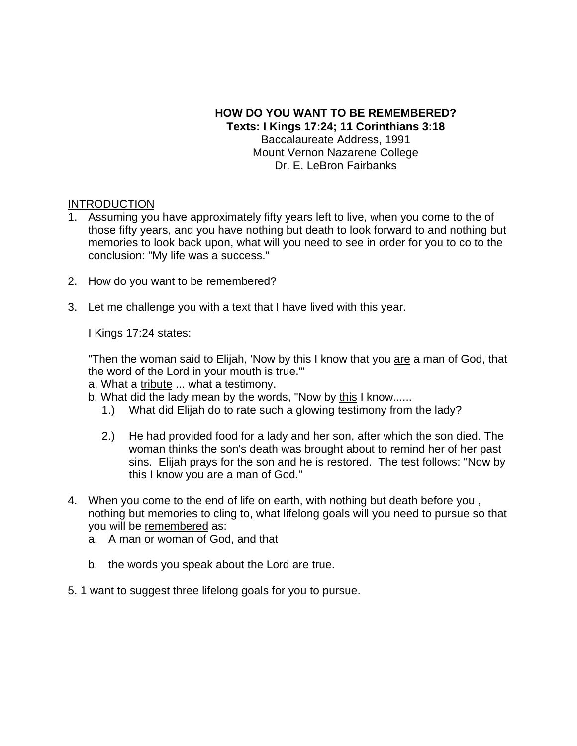#### **HOW DO YOU WANT TO BE REMEMBERED? Texts: I Kings 17:24; 11 Corinthians 3:18** Baccalaureate Address, 1991 Mount Vernon Nazarene College Dr. E. LeBron Fairbanks

#### **INTRODUCTION**

- 1. Assuming you have approximately fifty years left to live, when you come to the of those fifty years, and you have nothing but death to look forward to and nothing but memories to look back upon, what will you need to see in order for you to co to the conclusion: "My life was a success."
- 2. How do you want to be remembered?
- 3. Let me challenge you with a text that I have lived with this year.

I Kings 17:24 states:

"Then the woman said to Elijah, 'Now by this I know that you are a man of God, that the word of the Lord in your mouth is true."'

a. What a tribute ... what a testimony.

- b. What did the lady mean by the words, "Now by this I know......
	- 1.) What did Elijah do to rate such a glowing testimony from the lady?
	- 2.) He had provided food for a lady and her son, after which the son died. The woman thinks the son's death was brought about to remind her of her past sins. Elijah prays for the son and he is restored. The test follows: "Now by this I know you are a man of God."
- 4. When you come to the end of life on earth, with nothing but death before you , nothing but memories to cling to, what lifelong goals will you need to pursue so that you will be remembered as:
	- a. A man or woman of God, and that
	- b. the words you speak about the Lord are true.
- 5. 1 want to suggest three lifelong goals for you to pursue.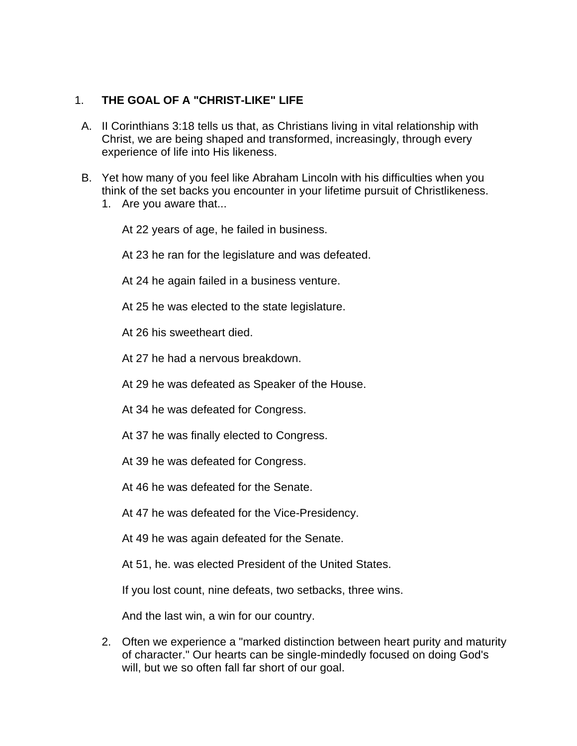# 1. **THE GOAL OF A "CHRIST-LIKE" LIFE**

- A. II Corinthians 3:18 tells us that, as Christians living in vital relationship with Christ, we are being shaped and transformed, increasingly, through every experience of life into His likeness.
- B. Yet how many of you feel like Abraham Lincoln with his difficulties when you think of the set backs you encounter in your lifetime pursuit of Christlikeness.
	- 1. Are you aware that...

At 22 years of age, he failed in business.

At 23 he ran for the legislature and was defeated.

- At 24 he again failed in a business venture.
- At 25 he was elected to the state legislature.

At 26 his sweetheart died.

At 27 he had a nervous breakdown.

At 29 he was defeated as Speaker of the House.

At 34 he was defeated for Congress.

- At 37 he was finally elected to Congress.
- At 39 he was defeated for Congress.
- At 46 he was defeated for the Senate.
- At 47 he was defeated for the Vice-Presidency.
- At 49 he was again defeated for the Senate.

At 51, he. was elected President of the United States.

If you lost count, nine defeats, two setbacks, three wins.

And the last win, a win for our country.

2. Often we experience a "marked distinction between heart purity and maturity of character." Our hearts can be single-mindedly focused on doing God's will, but we so often fall far short of our goal.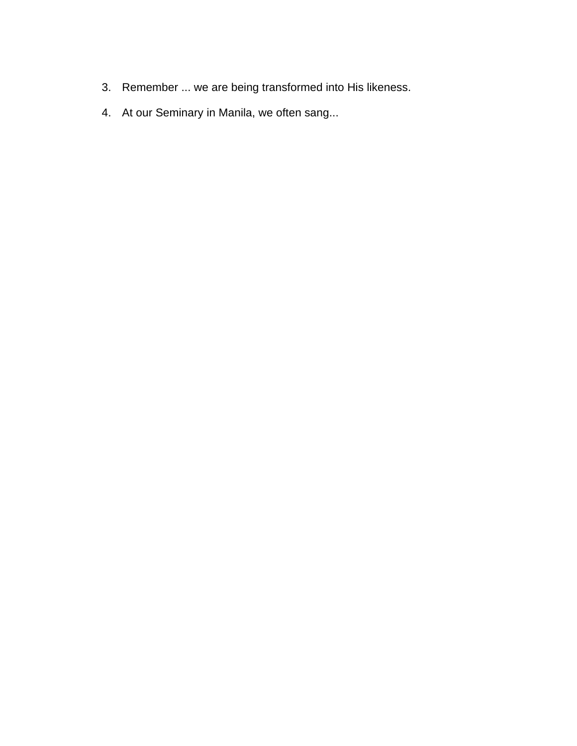- 3. Remember ... we are being transformed into His likeness.
- 4. At our Seminary in Manila, we often sang...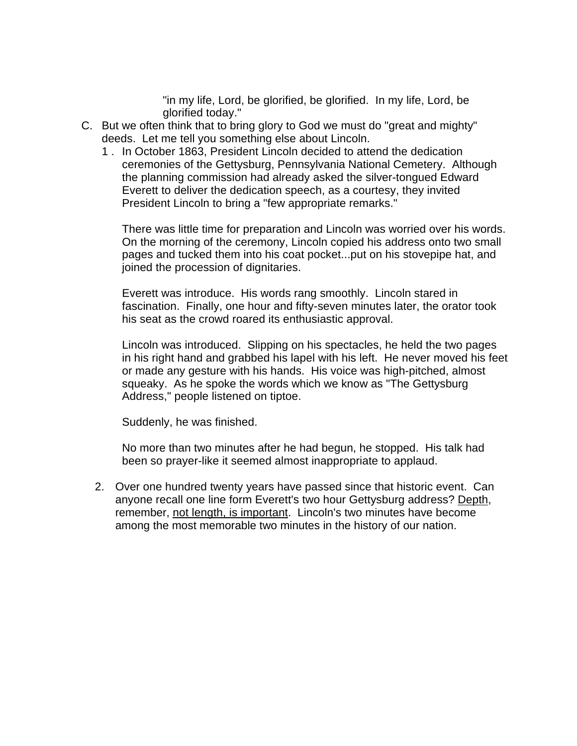"in my life, Lord, be glorified, be glorified. In my life, Lord, be glorified today."

- C. But we often think that to bring glory to God we must do "great and mighty" deeds. Let me tell you something else about Lincoln.
	- 1 . In October 1863, President Lincoln decided to attend the dedication ceremonies of the Gettysburg, Pennsylvania National Cemetery. Although the planning commission had already asked the silver-tongued Edward Everett to deliver the dedication speech, as a courtesy, they invited President Lincoln to bring a "few appropriate remarks."

There was little time for preparation and Lincoln was worried over his words. On the morning of the ceremony, Lincoln copied his address onto two small pages and tucked them into his coat pocket...put on his stovepipe hat, and joined the procession of dignitaries.

Everett was introduce. His words rang smoothly. Lincoln stared in fascination. Finally, one hour and fifty-seven minutes later, the orator took his seat as the crowd roared its enthusiastic approval.

Lincoln was introduced. Slipping on his spectacles, he held the two pages in his right hand and grabbed his lapel with his left. He never moved his feet or made any gesture with his hands. His voice was high-pitched, almost squeaky. As he spoke the words which we know as "The Gettysburg Address," people listened on tiptoe.

Suddenly, he was finished.

No more than two minutes after he had begun, he stopped. His talk had been so prayer-like it seemed almost inappropriate to applaud.

2. Over one hundred twenty years have passed since that historic event. Can anyone recall one line form Everett's two hour Gettysburg address? Depth, remember, not length, is important. Lincoln's two minutes have become among the most memorable two minutes in the history of our nation.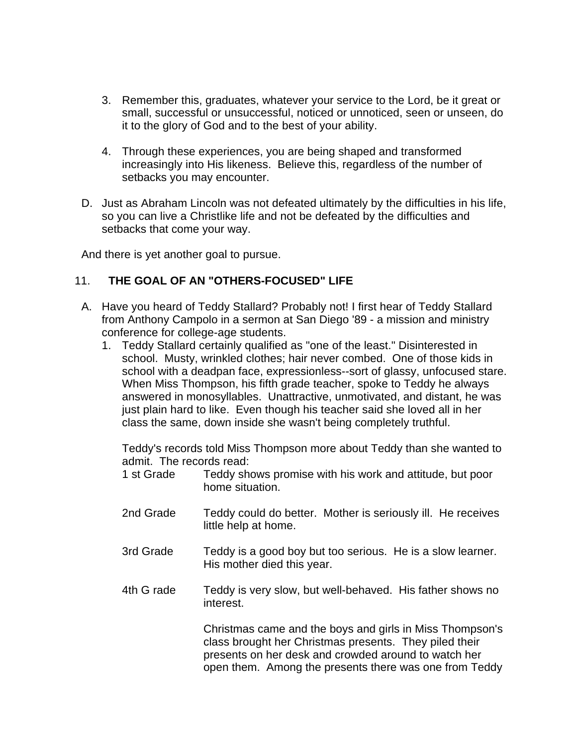- 3. Remember this, graduates, whatever your service to the Lord, be it great or small, successful or unsuccessful, noticed or unnoticed, seen or unseen, do it to the glory of God and to the best of your ability.
- 4. Through these experiences, you are being shaped and transformed increasingly into His likeness. Believe this, regardless of the number of setbacks you may encounter.
- D. Just as Abraham Lincoln was not defeated ultimately by the difficulties in his life, so you can live a Christlike life and not be defeated by the difficulties and setbacks that come your way.

And there is yet another goal to pursue.

## 11. **THE GOAL OF AN "OTHERS-FOCUSED" LIFE**

- A. Have you heard of Teddy Stallard? Probably not! I first hear of Teddy Stallard from Anthony Campolo in a sermon at San Diego '89 - a mission and ministry conference for college-age students.
	- 1. Teddy Stallard certainly qualified as "one of the least." Disinterested in school. Musty, wrinkled clothes; hair never combed. One of those kids in school with a deadpan face, expressionless--sort of glassy, unfocused stare. When Miss Thompson, his fifth grade teacher, spoke to Teddy he always answered in monosyllables. Unattractive, unmotivated, and distant, he was just plain hard to like. Even though his teacher said she loved all in her class the same, down inside she wasn't being completely truthful.

Teddy's records told Miss Thompson more about Teddy than she wanted to admit. The records read:

- 1 st Grade Teddy shows promise with his work and attitude, but poor home situation.
- 2nd Grade Teddy could do better. Mother is seriously ill. He receives little help at home.
- 3rd Grade Teddy is a good boy but too serious. He is a slow learner. His mother died this year.
- 4th G rade Teddy is very slow, but well-behaved. His father shows no interest.

Christmas came and the boys and girls in Miss Thompson's class brought her Christmas presents. They piled their presents on her desk and crowded around to watch her open them. Among the presents there was one from Teddy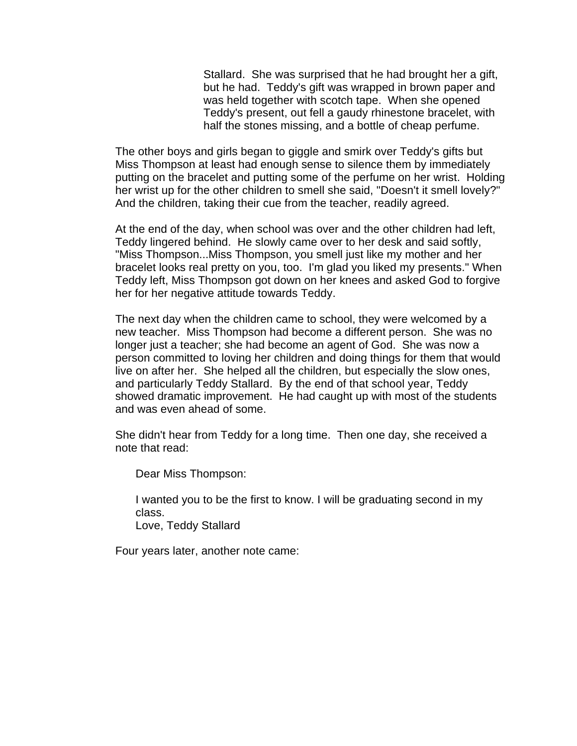Stallard. She was surprised that he had brought her a gift, but he had. Teddy's gift was wrapped in brown paper and was held together with scotch tape. When she opened Teddy's present, out fell a gaudy rhinestone bracelet, with half the stones missing, and a bottle of cheap perfume.

The other boys and girls began to giggle and smirk over Teddy's gifts but Miss Thompson at least had enough sense to silence them by immediately putting on the bracelet and putting some of the perfume on her wrist. Holding her wrist up for the other children to smell she said, "Doesn't it smell lovely?" And the children, taking their cue from the teacher, readily agreed.

At the end of the day, when school was over and the other children had left, Teddy lingered behind. He slowly came over to her desk and said softly, "Miss Thompson...Miss Thompson, you smell just like my mother and her bracelet looks real pretty on you, too. I'm glad you liked my presents." When Teddy left, Miss Thompson got down on her knees and asked God to forgive her for her negative attitude towards Teddy.

The next day when the children came to school, they were welcomed by a new teacher. Miss Thompson had become a different person. She was no longer just a teacher; she had become an agent of God. She was now a person committed to loving her children and doing things for them that would live on after her. She helped all the children, but especially the slow ones, and particularly Teddy Stallard. By the end of that school year, Teddy showed dramatic improvement. He had caught up with most of the students and was even ahead of some.

She didn't hear from Teddy for a long time. Then one day, she received a note that read:

Dear Miss Thompson:

I wanted you to be the first to know. I will be graduating second in my class. Love, Teddy Stallard

Four years later, another note came: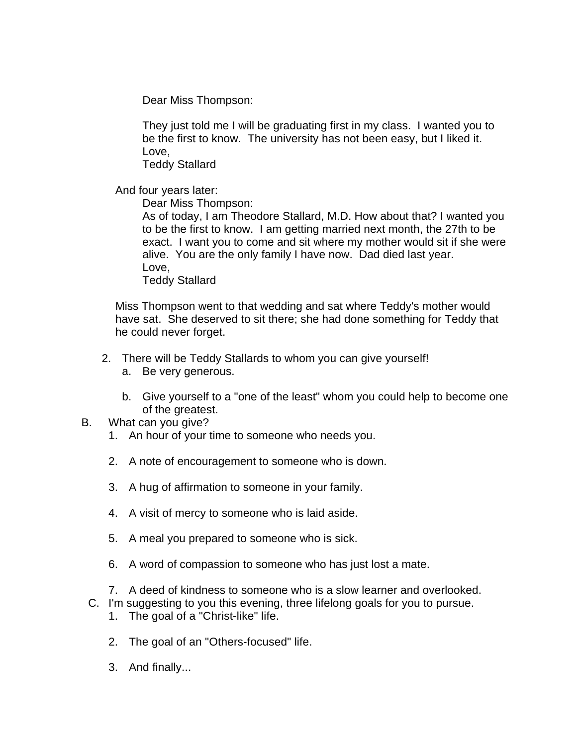Dear Miss Thompson:

They just told me I will be graduating first in my class. I wanted you to be the first to know. The university has not been easy, but I liked it. Love,

Teddy Stallard

And four years later:

Dear Miss Thompson:

As of today, I am Theodore Stallard, M.D. How about that? I wanted you to be the first to know. I am getting married next month, the 27th to be exact. I want you to come and sit where my mother would sit if she were alive. You are the only family I have now. Dad died last year. Love,

Teddy Stallard

Miss Thompson went to that wedding and sat where Teddy's mother would have sat. She deserved to sit there; she had done something for Teddy that he could never forget.

- 2. There will be Teddy Stallards to whom you can give yourself!
	- a. Be very generous.
	- b. Give yourself to a "one of the least" whom you could help to become one of the greatest.
- B. What can you give?
	- 1. An hour of your time to someone who needs you.
	- 2. A note of encouragement to someone who is down.
	- 3. A hug of affirmation to someone in your family.
	- 4. A visit of mercy to someone who is laid aside.
	- 5. A meal you prepared to someone who is sick.
	- 6. A word of compassion to someone who has just lost a mate.
	- 7. A deed of kindness to someone who is a slow learner and overlooked.
	- C. I'm suggesting to you this evening, three lifelong goals for you to pursue.
		- 1. The goal of a "Christ-like" life.
		- 2. The goal of an "Others-focused" life.
		- 3. And finally...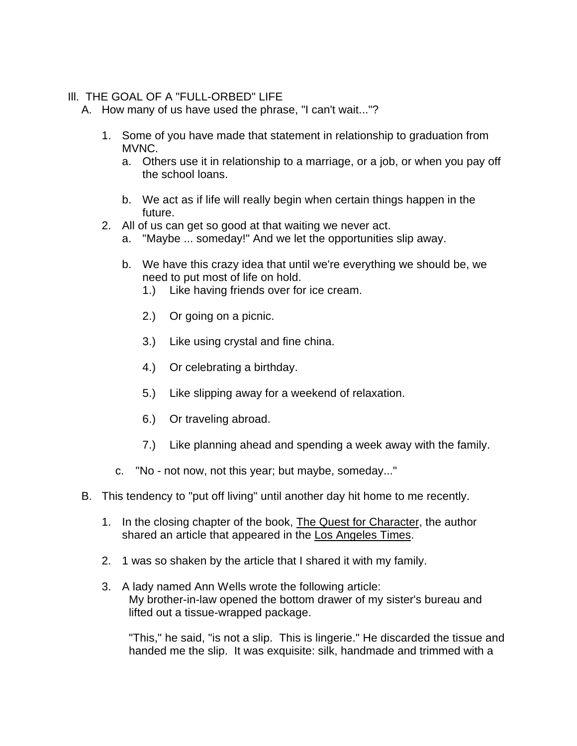### Ill. THE GOAL OF A "FULL-ORBED" LIFE

A. How many of us have used the phrase, "I can't wait..."?

- 1. Some of you have made that statement in relationship to graduation from MVNC.
	- a. Others use it in relationship to a marriage, or a job, or when you pay off the school loans.
	- b. We act as if life will really begin when certain things happen in the future.
- 2. All of us can get so good at that waiting we never act.
	- a. "Maybe ... someday!" And we let the opportunities slip away.
	- b. We have this crazy idea that until we're everything we should be, we need to put most of life on hold.
		- 1.) Like having friends over for ice cream.
		- 2.) Or going on a picnic.
		- 3.) Like using crystal and fine china.
		- 4.) Or celebrating a birthday.
		- 5.) Like slipping away for a weekend of relaxation.
		- 6.) Or traveling abroad.
		- 7.) Like planning ahead and spending a week away with the family.
	- c. "No not now, not this year; but maybe, someday..."
- B. This tendency to "put off living" until another day hit home to me recently.
	- 1. In the closing chapter of the book, The Quest for Character, the author shared an article that appeared in the Los Angeles Times.
	- 2. 1 was so shaken by the article that I shared it with my family.
	- 3. A lady named Ann Wells wrote the following article: My brother-in-law opened the bottom drawer of my sister's bureau and lifted out a tissue-wrapped package.

"This," he said, "is not a slip. This is lingerie." He discarded the tissue and handed me the slip. It was exquisite: silk, handmade and trimmed with a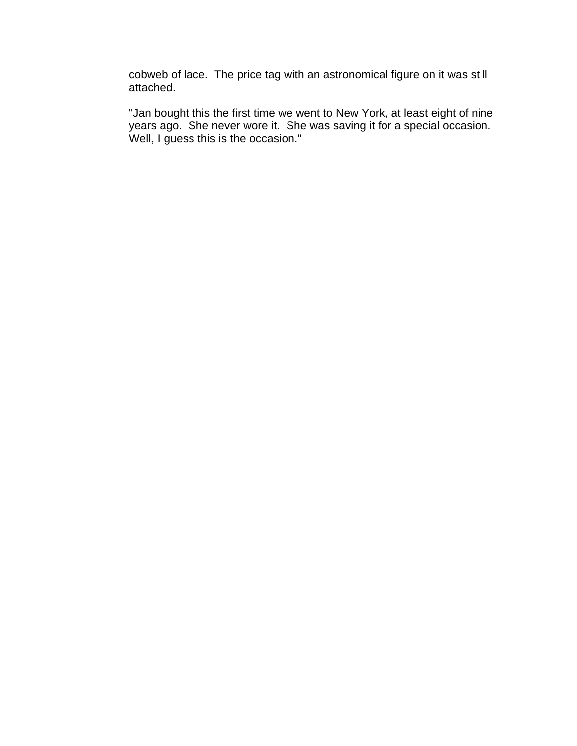cobweb of lace. The price tag with an astronomical figure on it was still attached.

"Jan bought this the first time we went to New York, at least eight of nine years ago. She never wore it. She was saving it for a special occasion. Well, I guess this is the occasion."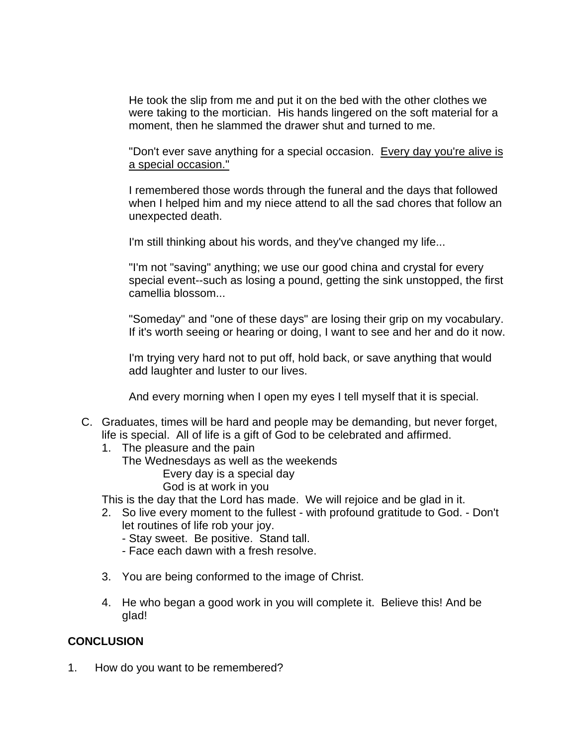He took the slip from me and put it on the bed with the other clothes we were taking to the mortician. His hands lingered on the soft material for a moment, then he slammed the drawer shut and turned to me.

"Don't ever save anything for a special occasion. Every day you're alive is a special occasion."

I remembered those words through the funeral and the days that followed when I helped him and my niece attend to all the sad chores that follow an unexpected death.

I'm still thinking about his words, and they've changed my life...

"I'm not "saving" anything; we use our good china and crystal for every special event--such as losing a pound, getting the sink unstopped, the first camellia blossom...

"Someday" and "one of these days" are losing their grip on my vocabulary. If it's worth seeing or hearing or doing, I want to see and her and do it now.

I'm trying very hard not to put off, hold back, or save anything that would add laughter and luster to our lives.

And every morning when I open my eyes I tell myself that it is special.

- C. Graduates, times will be hard and people may be demanding, but never forget, life is special. All of life is a gift of God to be celebrated and affirmed.
	- 1. The pleasure and the pain The Wednesdays as well as the weekends Every day is a special day
		- God is at work in you

This is the day that the Lord has made. We will rejoice and be glad in it.

- 2. So live every moment to the fullest with profound gratitude to God. Don't let routines of life rob your joy.
	- Stay sweet. Be positive. Stand tall.
	- Face each dawn with a fresh resolve.
- 3. You are being conformed to the image of Christ.
- 4. He who began a good work in you will complete it. Believe this! And be glad!

### **CONCLUSION**

1. How do you want to be remembered?